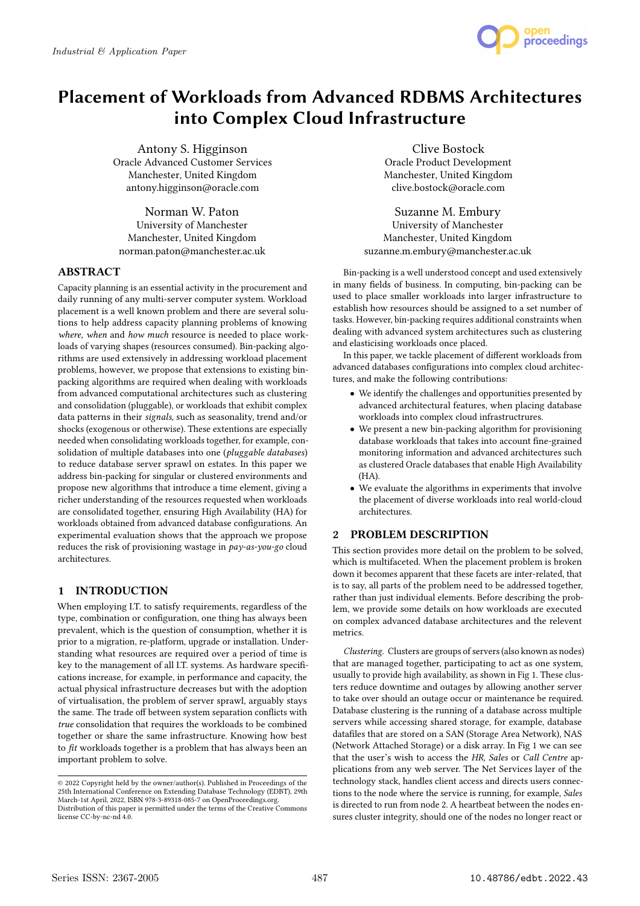

# Placement of Workloads from Advanced RDBMS Architectures into Complex Cloud Infrastructure

Antony S. Higginson Oracle Advanced Customer Services Manchester, United Kingdom antony.higginson@oracle.com

Norman W. Paton University of Manchester Manchester, United Kingdom norman.paton@manchester.ac.uk

# ABSTRACT

Capacity planning is an essential activity in the procurement and daily running of any multi-server computer system. Workload placement is a well known problem and there are several solutions to help address capacity planning problems of knowing where, when and how much resource is needed to place workloads of varying shapes (resources consumed). Bin-packing algorithms are used extensively in addressing workload placement problems, however, we propose that extensions to existing binpacking algorithms are required when dealing with workloads from advanced computational architectures such as clustering and consolidation (pluggable), or workloads that exhibit complex data patterns in their signals, such as seasonality, trend and/or shocks (exogenous or otherwise). These extentions are especially needed when consolidating workloads together, for example, consolidation of multiple databases into one (pluggable databases) to reduce database server sprawl on estates. In this paper we address bin-packing for singular or clustered environments and propose new algorithms that introduce a time element, giving a richer understanding of the resources requested when workloads are consolidated together, ensuring High Availability (HA) for workloads obtained from advanced database configurations. An experimental evaluation shows that the approach we propose reduces the risk of provisioning wastage in pay-as-you-go cloud architectures.

# 1 INTRODUCTION

When employing I.T. to satisfy requirements, regardless of the type, combination or configuration, one thing has always been prevalent, which is the question of consumption, whether it is prior to a migration, re-platform, upgrade or installation. Understanding what resources are required over a period of time is key to the management of all I.T. systems. As hardware specifications increase, for example, in performance and capacity, the actual physical infrastructure decreases but with the adoption of virtualisation, the problem of server sprawl, arguably stays the same. The trade off between system separation conflicts with true consolidation that requires the workloads to be combined together or share the same infrastructure. Knowing how best to fit workloads together is a problem that has always been an important problem to solve.

Clive Bostock Oracle Product Development Manchester, United Kingdom clive.bostock@oracle.com

Suzanne M. Embury University of Manchester Manchester, United Kingdom suzanne.m.embury@manchester.ac.uk

Bin-packing is a well understood concept and used extensively in many fields of business. In computing, bin-packing can be used to place smaller workloads into larger infrastructure to establish how resources should be assigned to a set number of tasks. However, bin-packing requires additional constraints when dealing with advanced system architectures such as clustering and elasticising workloads once placed.

In this paper, we tackle placement of different workloads from advanced databases configurations into complex cloud architectures, and make the following contributions:

- We identify the challenges and opportunities presented by advanced architectural features, when placing database workloads into complex cloud infrastructrures.
- We present a new bin-packing algorithm for provisioning database workloads that takes into account fine-grained monitoring information and advanced architectures such as clustered Oracle databases that enable High Availability (HA).
- We evaluate the algorithms in experiments that involve the placement of diverse workloads into real world-cloud architectures.

# 2 PROBLEM DESCRIPTION

This section provides more detail on the problem to be solved, which is multifaceted. When the placement problem is broken down it becomes apparent that these facets are inter-related, that is to say, all parts of the problem need to be addressed together, rather than just individual elements. Before describing the problem, we provide some details on how workloads are executed on complex advanced database architectures and the relevent metrics.

Clustering. Clusters are groups of servers (also known as nodes) that are managed together, participating to act as one system, usually to provide high availability, as shown in Fig 1. These clusters reduce downtime and outages by allowing another server to take over should an outage occur or maintenance be required. Database clustering is the running of a database across multiple servers while accessing shared storage, for example, database datafiles that are stored on a SAN (Storage Area Network), NAS (Network Attached Storage) or a disk array. In Fig 1 we can see that the user's wish to access the HR, Sales or Call Centre applications from any web server. The Net Services layer of the technology stack, handles client access and directs users connections to the node where the service is running, for example, Sales is directed to run from node 2. A heartbeat between the nodes ensures cluster integrity, should one of the nodes no longer react or

<sup>©</sup> 2022 Copyright held by the owner/author(s). Published in Proceedings of the 25th International Conference on Extending Database Technology (EDBT), 29th March-1st April, 2022, ISBN 978-3-89318-085-7 on OpenProceedings.org. Distribution of this paper is permitted under the terms of the Creative Commons license CC-by-nc-nd 4.0.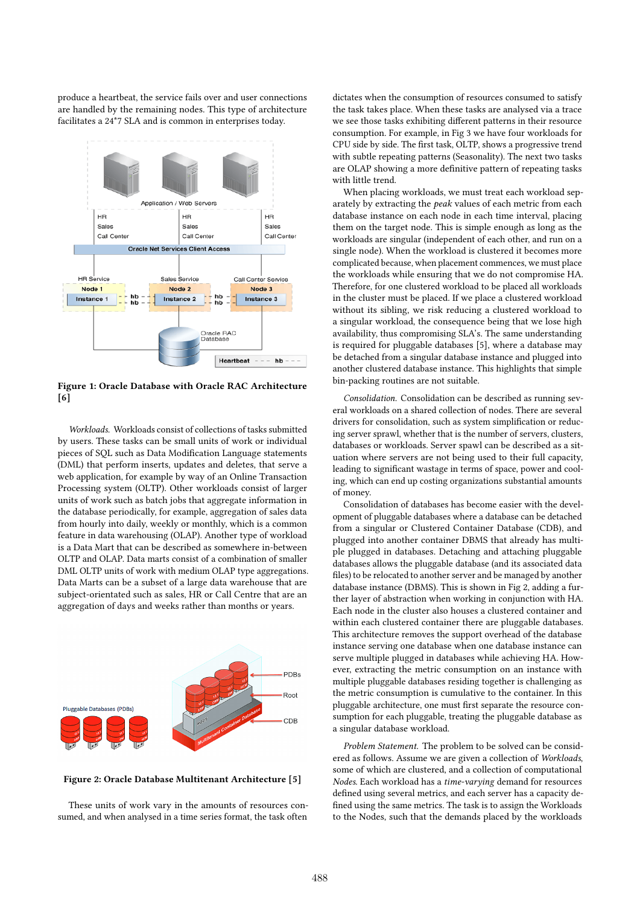produce a heartbeat, the service fails over and user connections are handled by the remaining nodes. This type of architecture facilitates a 24\*7 SLA and is common in enterprises today.



Figure 1: Oracle Database with Oracle RAC Architecture [6]

Workloads. Workloads consist of collections of tasks submitted by users. These tasks can be small units of work or individual pieces of SQL such as Data Modification Language statements (DML) that perform inserts, updates and deletes, that serve a web application, for example by way of an Online Transaction Processing system (OLTP). Other workloads consist of larger units of work such as batch jobs that aggregate information in the database periodically, for example, aggregation of sales data from hourly into daily, weekly or monthly, which is a common feature in data warehousing (OLAP). Another type of workload is a Data Mart that can be described as somewhere in-between OLTP and OLAP. Data marts consist of a combination of smaller DML OLTP units of work with medium OLAP type aggregations. Data Marts can be a subset of a large data warehouse that are subject-orientated such as sales, HR or Call Centre that are an aggregation of days and weeks rather than months or years.



Figure 2: Oracle Database Multitenant Architecture [5]

These units of work vary in the amounts of resources consumed, and when analysed in a time series format, the task often

dictates when the consumption of resources consumed to satisfy the task takes place. When these tasks are analysed via a trace we see those tasks exhibiting different patterns in their resource consumption. For example, in Fig 3 we have four workloads for CPU side by side. The first task, OLTP, shows a progressive trend with subtle repeating patterns (Seasonality). The next two tasks are OLAP showing a more definitive pattern of repeating tasks with little trend.

When placing workloads, we must treat each workload separately by extracting the *peak* values of each metric from each database instance on each node in each time interval, placing them on the target node. This is simple enough as long as the workloads are singular (independent of each other, and run on a single node). When the workload is clustered it becomes more complicated because, when placement commences, we must place the workloads while ensuring that we do not compromise HA. Therefore, for one clustered workload to be placed all workloads in the cluster must be placed. If we place a clustered workload without its sibling, we risk reducing a clustered workload to a singular workload, the consequence being that we lose high availability, thus compromising SLA's. The same understanding is required for pluggable databases [5], where a database may be detached from a singular database instance and plugged into another clustered database instance. This highlights that simple bin-packing routines are not suitable.

Consolidation. Consolidation can be described as running several workloads on a shared collection of nodes. There are several drivers for consolidation, such as system simplification or reducing server sprawl, whether that is the number of servers, clusters, databases or workloads. Server spawl can be described as a situation where servers are not being used to their full capacity, leading to significant wastage in terms of space, power and cooling, which can end up costing organizations substantial amounts of money.

Consolidation of databases has become easier with the development of pluggable databases where a database can be detached from a singular or Clustered Container Database (CDB), and plugged into another container DBMS that already has multiple plugged in databases. Detaching and attaching pluggable databases allows the pluggable database (and its associated data files) to be relocated to another server and be managed by another database instance (DBMS). This is shown in Fig 2, adding a further layer of abstraction when working in conjunction with HA. Each node in the cluster also houses a clustered container and within each clustered container there are pluggable databases. This architecture removes the support overhead of the database instance serving one database when one database instance can serve multiple plugged in databases while achieving HA. However, extracting the metric consumption on an instance with multiple pluggable databases residing together is challenging as the metric consumption is cumulative to the container. In this pluggable architecture, one must first separate the resource consumption for each pluggable, treating the pluggable database as a singular database workload.

Problem Statement. The problem to be solved can be considered as follows. Assume we are given a collection of Workloads, some of which are clustered, and a collection of computational Nodes. Each workload has a time-varying demand for resources defined using several metrics, and each server has a capacity defined using the same metrics. The task is to assign the Workloads to the Nodes, such that the demands placed by the workloads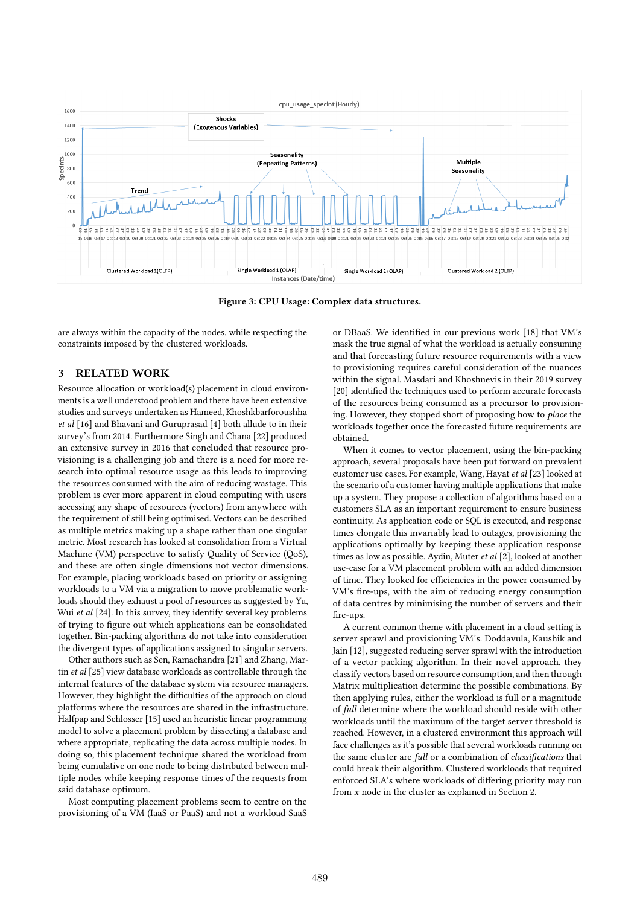

Figure 3: CPU Usage: Complex data structures.

are always within the capacity of the nodes, while respecting the constraints imposed by the clustered workloads.

## 3 RELATED WORK

Resource allocation or workload(s) placement in cloud environments is a well understood problem and there have been extensive studies and surveys undertaken as Hameed, Khoshkbarforoushha et al [16] and Bhavani and Guruprasad [4] both allude to in their survey's from 2014. Furthermore Singh and Chana [22] produced an extensive survey in 2016 that concluded that resource provisioning is a challenging job and there is a need for more research into optimal resource usage as this leads to improving the resources consumed with the aim of reducing wastage. This problem is ever more apparent in cloud computing with users accessing any shape of resources (vectors) from anywhere with the requirement of still being optimised. Vectors can be described as multiple metrics making up a shape rather than one singular metric. Most research has looked at consolidation from a Virtual Machine (VM) perspective to satisfy Quality of Service (QoS), and these are often single dimensions not vector dimensions. For example, placing workloads based on priority or assigning workloads to a VM via a migration to move problematic workloads should they exhaust a pool of resources as suggested by Yu, Wui et al [24]. In this survey, they identify several key problems of trying to figure out which applications can be consolidated together. Bin-packing algorithms do not take into consideration the divergent types of applications assigned to singular servers.

Other authors such as Sen, Ramachandra [21] and Zhang, Martin et al [25] view database workloads as controllable through the internal features of the database system via resource managers. However, they highlight the difficulties of the approach on cloud platforms where the resources are shared in the infrastructure. Halfpap and Schlosser [15] used an heuristic linear programming model to solve a placement problem by dissecting a database and where appropriate, replicating the data across multiple nodes. In doing so, this placement technique shared the workload from being cumulative on one node to being distributed between multiple nodes while keeping response times of the requests from said database optimum.

Most computing placement problems seem to centre on the provisioning of a VM (IaaS or PaaS) and not a workload SaaS

or DBaaS. We identified in our previous work [18] that VM's mask the true signal of what the workload is actually consuming and that forecasting future resource requirements with a view to provisioning requires careful consideration of the nuances within the signal. Masdari and Khoshnevis in their 2019 survey [20] identified the techniques used to perform accurate forecasts of the resources being consumed as a precursor to provisioning. However, they stopped short of proposing how to place the workloads together once the forecasted future requirements are obtained.

When it comes to vector placement, using the bin-packing approach, several proposals have been put forward on prevalent customer use cases. For example, Wang, Hayat et al [23] looked at the scenario of a customer having multiple applications that make up a system. They propose a collection of algorithms based on a customers SLA as an important requirement to ensure business continuity. As application code or SQL is executed, and response times elongate this invariably lead to outages, provisioning the applications optimally by keeping these application response times as low as possible. Aydin, Muter et al [2], looked at another use-case for a VM placement problem with an added dimension of time. They looked for efficiencies in the power consumed by VM's fire-ups, with the aim of reducing energy consumption of data centres by minimising the number of servers and their fire-ups.

A current common theme with placement in a cloud setting is server sprawl and provisioning VM's. Doddavula, Kaushik and Jain [12], suggested reducing server sprawl with the introduction of a vector packing algorithm. In their novel approach, they classify vectors based on resource consumption, and then through Matrix multiplication determine the possible combinations. By then applying rules, either the workload is full or a magnitude of full determine where the workload should reside with other workloads until the maximum of the target server threshold is reached. However, in a clustered environment this approach will face challenges as it's possible that several workloads running on the same cluster are full or a combination of classifications that could break their algorithm. Clustered workloads that required enforced SLA's where workloads of differing priority may run from  $x$  node in the cluster as explained in Section 2.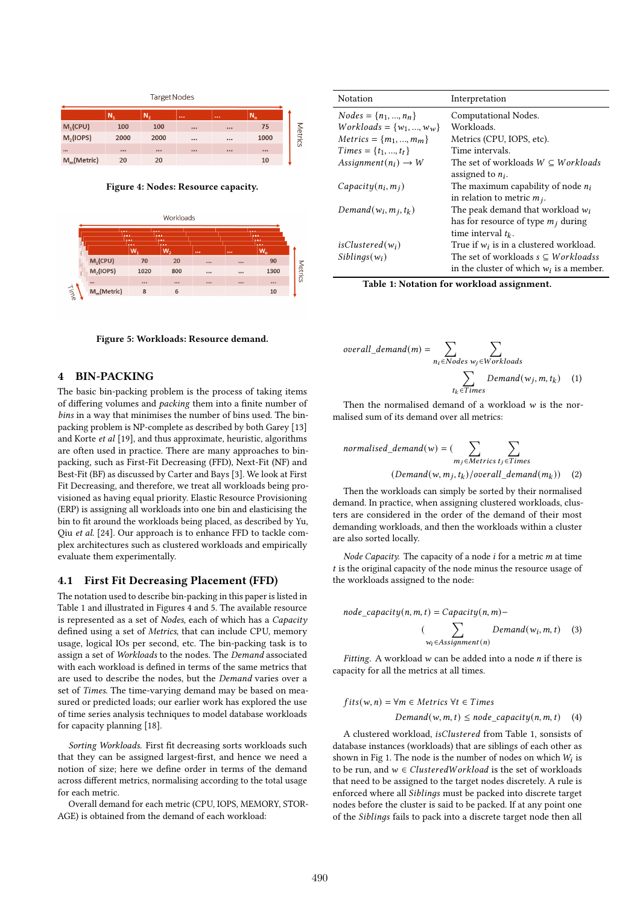

Figure 4: Nodes: Resource capacity.





# 4 BIN-PACKING

The basic bin-packing problem is the process of taking items of differing volumes and packing them into a finite number of bins in a way that minimises the number of bins used. The binpacking problem is NP-complete as described by both Garey [13] and Korte et al [19], and thus approximate, heuristic, algorithms are often used in practice. There are many approaches to binpacking, such as First-Fit Decreasing (FFD), Next-Fit (NF) and Best-Fit (BF) as discussed by Carter and Bays [3]. We look at First Fit Decreasing, and therefore, we treat all workloads being provisioned as having equal priority. Elastic Resource Provisioning (ERP) is assigning all workloads into one bin and elasticising the bin to fit around the workloads being placed, as described by Yu, Qiu et al. [24]. Our approach is to enhance FFD to tackle complex architectures such as clustered workloads and empirically evaluate them experimentally.

#### 4.1 First Fit Decreasing Placement (FFD)

The notation used to describe bin-packing in this paper is listed in Table 1 and illustrated in Figures 4 and 5. The available resource is represented as a set of Nodes, each of which has a Capacity defined using a set of Metrics, that can include CPU, memory usage, logical IOs per second, etc. The bin-packing task is to assign a set of Workloads to the nodes. The Demand associated with each workload is defined in terms of the same metrics that are used to describe the nodes, but the Demand varies over a set of Times. The time-varying demand may be based on measured or predicted loads; our earlier work has explored the use of time series analysis techniques to model database workloads for capacity planning [18].

Sorting Workloads. First fit decreasing sorts workloads such that they can be assigned largest-first, and hence we need a notion of size; here we define order in terms of the demand across different metrics, normalising according to the total usage for each metric.

Overall demand for each metric (CPU, IOPS, MEMORY, STOR-AGE) is obtained from the demand of each workload:

| Notation                         | Interpretation                               |
|----------------------------------|----------------------------------------------|
| $Nodes = \{n_1, , n_n\}$         | Computational Nodes.                         |
| $Workloads = \{w_1, , w_w\}$     | Workloads.                                   |
| $Metrics = \{m_1, , m_m\}$       | Metrics (CPU, IOPS, etc).                    |
| $Times = \{t_1, , t_t\}$         | Time intervals.                              |
| Assignment $(n_i) \rightarrow W$ | The set of workloads $W \subseteq Workloads$ |
|                                  | assigned to $n_i$ .                          |
| $Ca\beta activity(n_i, m_i)$     | The maximum capability of node $n_i$         |
|                                  | in relation to metric $m_i$ .                |
| Demand $(w_i, m_j, t_k)$         | The peak demand that workload $w_i$          |
|                                  | has for resource of type $m_i$ during        |
|                                  | time interval $t_k$ .                        |
| isClustered $(w_i)$              | True if $w_i$ is in a clustered workload.    |
| $Sibling(w_i)$                   | The set of workloads $s \subseteq Workloads$ |
|                                  | in the cluster of which $w_i$ is a member.   |

Table 1: Notation for workload assignment.

$$
overall\_demand(m) = \sum_{n_i \in Nodes} \sum_{w_j \in Workloads} \sum_{t_k \in Times} Demand(w_j, m, t_k)
$$
 (1)

Then the normalised demand of a workload  $w$  is the normalised sum of its demand over all metrics:

normalised\_demand(w) = 
$$
\sum_{m_j \in \text{Metrics } t_j \in \text{Times}} \sum_{\text{Olemand}(w, m_j, t_k) / overall_demand(m_k))}
$$
 (2)

Then the workloads can simply be sorted by their normalised demand. In practice, when assigning clustered workloads, clusters are considered in the order of the demand of their most demanding workloads, and then the workloads within a cluster are also sorted locally.

Node Capacity. The capacity of a node  $i$  for a metric  $m$  at time  $t$  is the original capacity of the node minus the resource usage of the workloads assigned to the node:

node capacity $(n, m, t) = Capacity(n, m)$ –

 $\begin{pmatrix} \overline{z} & \overline{z} \\ \overline{z} & \overline{z} \end{pmatrix}$  $w_i \in \overline{Assignment(n)}$  $Demand(w_i, m, t)$  (3)

Fitting. A workload  $w$  can be added into a node  $n$  if there is capacity for all the metrics at all times.

$$
fits(w, n) = \forall m \in M \text{entries } \forall t \in Times
$$
\n
$$
Demand(w, m, t) \leq node\_capacity(n, m, t) \quad (4)
$$

A clustered workload, *isClustered* from Table 1, sonsists of database instances (workloads) that are siblings of each other as shown in Fig 1. The node is the number of nodes on which  $W_i$  is to be run, and  $w \in ClusteredWorkload$  is the set of workloads that need to be assigned to the target nodes discretely. A rule is enforced where all Siblings must be packed into discrete target nodes before the cluster is said to be packed. If at any point one of the Siblings fails to pack into a discrete target node then all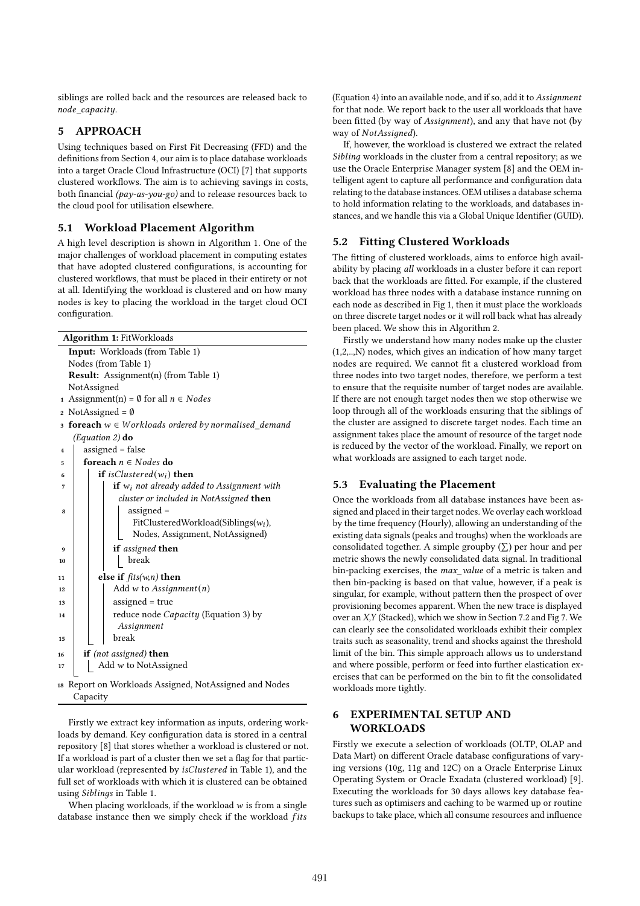siblings are rolled back and the resources are released back to node\_capacity.

## 5 APPROACH

Using techniques based on First Fit Decreasing (FFD) and the definitions from Section 4, our aim is to place database workloads into a target Oracle Cloud Infrastructure (OCI) [7] that supports clustered workflows. The aim is to achieving savings in costs, both financial ( $pay-as\text{-}you\text{-}go$ ) and to release resources back to the cloud pool for utilisation elsewhere.

## 5.1 Workload Placement Algorithm

A high level description is shown in Algorithm 1. One of the major challenges of workload placement in computing estates that have adopted clustered configurations, is accounting for clustered workflows, that must be placed in their entirety or not at all. Identifying the workload is clustered and on how many nodes is key to placing the workload in the target cloud OCI configuration.

| Input: Workloads (from Table 1)<br>Nodes (from Table 1)<br><b>Result:</b> Assignment(n) (from Table 1)<br>NotAssigned<br>1 Assignment(n) = $\emptyset$ for all $n \in Nodes$<br>2 NotAssigned = $\emptyset$<br>$\sigma$ foreach $w \in W$ orkloads ordered by normalised_demand<br>(Equation 2) $do$<br>assigned = false<br>$\overline{\mathbf{4}}$<br>foreach $n \in Nodes$ do<br>5<br><b>if</b> isClustered( $w_i$ ) <b>then</b><br>6<br>if $w_i$ not already added to Assignment with<br>7<br>cluster or included in NotAssigned <b>then</b><br>$assigned =$<br>8<br>$FitClusteredWorkload(Sibling(s(w_i)),$<br>Nodes, Assignment, NotAssigned)<br>if assigned then<br>9<br>break<br>10<br>else if $fits(w, n)$ then<br>11<br>Add w to Assignment $(n)$<br>12<br>assigned = true<br>13<br>reduce node <i>Capacity</i> (Equation 3) by<br>14<br>Assignment<br>break<br>15 | <b>Algorithm 1: FitWorkloads</b> |  |  |  |  |  |  |  |  |
|-----------------------------------------------------------------------------------------------------------------------------------------------------------------------------------------------------------------------------------------------------------------------------------------------------------------------------------------------------------------------------------------------------------------------------------------------------------------------------------------------------------------------------------------------------------------------------------------------------------------------------------------------------------------------------------------------------------------------------------------------------------------------------------------------------------------------------------------------------------------------------|----------------------------------|--|--|--|--|--|--|--|--|
|                                                                                                                                                                                                                                                                                                                                                                                                                                                                                                                                                                                                                                                                                                                                                                                                                                                                             |                                  |  |  |  |  |  |  |  |  |
|                                                                                                                                                                                                                                                                                                                                                                                                                                                                                                                                                                                                                                                                                                                                                                                                                                                                             |                                  |  |  |  |  |  |  |  |  |
|                                                                                                                                                                                                                                                                                                                                                                                                                                                                                                                                                                                                                                                                                                                                                                                                                                                                             |                                  |  |  |  |  |  |  |  |  |
|                                                                                                                                                                                                                                                                                                                                                                                                                                                                                                                                                                                                                                                                                                                                                                                                                                                                             |                                  |  |  |  |  |  |  |  |  |
|                                                                                                                                                                                                                                                                                                                                                                                                                                                                                                                                                                                                                                                                                                                                                                                                                                                                             |                                  |  |  |  |  |  |  |  |  |
|                                                                                                                                                                                                                                                                                                                                                                                                                                                                                                                                                                                                                                                                                                                                                                                                                                                                             |                                  |  |  |  |  |  |  |  |  |
|                                                                                                                                                                                                                                                                                                                                                                                                                                                                                                                                                                                                                                                                                                                                                                                                                                                                             |                                  |  |  |  |  |  |  |  |  |
|                                                                                                                                                                                                                                                                                                                                                                                                                                                                                                                                                                                                                                                                                                                                                                                                                                                                             |                                  |  |  |  |  |  |  |  |  |
|                                                                                                                                                                                                                                                                                                                                                                                                                                                                                                                                                                                                                                                                                                                                                                                                                                                                             |                                  |  |  |  |  |  |  |  |  |
|                                                                                                                                                                                                                                                                                                                                                                                                                                                                                                                                                                                                                                                                                                                                                                                                                                                                             |                                  |  |  |  |  |  |  |  |  |
|                                                                                                                                                                                                                                                                                                                                                                                                                                                                                                                                                                                                                                                                                                                                                                                                                                                                             |                                  |  |  |  |  |  |  |  |  |
|                                                                                                                                                                                                                                                                                                                                                                                                                                                                                                                                                                                                                                                                                                                                                                                                                                                                             |                                  |  |  |  |  |  |  |  |  |
|                                                                                                                                                                                                                                                                                                                                                                                                                                                                                                                                                                                                                                                                                                                                                                                                                                                                             |                                  |  |  |  |  |  |  |  |  |
|                                                                                                                                                                                                                                                                                                                                                                                                                                                                                                                                                                                                                                                                                                                                                                                                                                                                             |                                  |  |  |  |  |  |  |  |  |
|                                                                                                                                                                                                                                                                                                                                                                                                                                                                                                                                                                                                                                                                                                                                                                                                                                                                             |                                  |  |  |  |  |  |  |  |  |
|                                                                                                                                                                                                                                                                                                                                                                                                                                                                                                                                                                                                                                                                                                                                                                                                                                                                             |                                  |  |  |  |  |  |  |  |  |
|                                                                                                                                                                                                                                                                                                                                                                                                                                                                                                                                                                                                                                                                                                                                                                                                                                                                             |                                  |  |  |  |  |  |  |  |  |
|                                                                                                                                                                                                                                                                                                                                                                                                                                                                                                                                                                                                                                                                                                                                                                                                                                                                             |                                  |  |  |  |  |  |  |  |  |
|                                                                                                                                                                                                                                                                                                                                                                                                                                                                                                                                                                                                                                                                                                                                                                                                                                                                             |                                  |  |  |  |  |  |  |  |  |
|                                                                                                                                                                                                                                                                                                                                                                                                                                                                                                                                                                                                                                                                                                                                                                                                                                                                             |                                  |  |  |  |  |  |  |  |  |
|                                                                                                                                                                                                                                                                                                                                                                                                                                                                                                                                                                                                                                                                                                                                                                                                                                                                             |                                  |  |  |  |  |  |  |  |  |
|                                                                                                                                                                                                                                                                                                                                                                                                                                                                                                                                                                                                                                                                                                                                                                                                                                                                             |                                  |  |  |  |  |  |  |  |  |
|                                                                                                                                                                                                                                                                                                                                                                                                                                                                                                                                                                                                                                                                                                                                                                                                                                                                             |                                  |  |  |  |  |  |  |  |  |
|                                                                                                                                                                                                                                                                                                                                                                                                                                                                                                                                                                                                                                                                                                                                                                                                                                                                             |                                  |  |  |  |  |  |  |  |  |
| <b>if</b> (not assigned) <b>then</b><br>16                                                                                                                                                                                                                                                                                                                                                                                                                                                                                                                                                                                                                                                                                                                                                                                                                                  |                                  |  |  |  |  |  |  |  |  |
| Add w to NotAssigned<br>17                                                                                                                                                                                                                                                                                                                                                                                                                                                                                                                                                                                                                                                                                                                                                                                                                                                  |                                  |  |  |  |  |  |  |  |  |
| Report on Workloads Assigned, NotAssigned and Nodes<br>18                                                                                                                                                                                                                                                                                                                                                                                                                                                                                                                                                                                                                                                                                                                                                                                                                   |                                  |  |  |  |  |  |  |  |  |
| Capacity                                                                                                                                                                                                                                                                                                                                                                                                                                                                                                                                                                                                                                                                                                                                                                                                                                                                    |                                  |  |  |  |  |  |  |  |  |

Firstly we extract key information as inputs, ordering workloads by demand. Key configuration data is stored in a central repository [8] that stores whether a workload is clustered or not. If a workload is part of a cluster then we set a flag for that particular workload (represented by *isClustered* in Table 1), and the full set of workloads with which it is clustered can be obtained using *Siblings* in Table 1.

When placing workloads, if the workload  $w$  is from a single database instance then we simply check if the workload fits (Equation 4) into an available node, and if so, add it to Assignment for that node. We report back to the user all workloads that have been fitted (by way of Assignment), and any that have not (by way of NotAssigned).

If, however, the workload is clustered we extract the related Sibling workloads in the cluster from a central repository; as we use the Oracle Enterprise Manager system [8] and the OEM intelligent agent to capture all performance and configuration data relating to the database instances. OEM utilises a database schema to hold information relating to the workloads, and databases instances, and we handle this via a Global Unique Identifier (GUID).

## 5.2 Fitting Clustered Workloads

The fitting of clustered workloads, aims to enforce high availability by placing all workloads in a cluster before it can report back that the workloads are fitted. For example, if the clustered workload has three nodes with a database instance running on each node as described in Fig 1, then it must place the workloads on three discrete target nodes or it will roll back what has already been placed. We show this in Algorithm 2.

Firstly we understand how many nodes make up the cluster (1,2,..,N) nodes, which gives an indication of how many target nodes are required. We cannot fit a clustered workload from three nodes into two target nodes, therefore, we perform a test to ensure that the requisite number of target nodes are available. If there are not enough target nodes then we stop otherwise we loop through all of the workloads ensuring that the siblings of the cluster are assigned to discrete target nodes. Each time an assignment takes place the amount of resource of the target node is reduced by the vector of the workload. Finally, we report on what workloads are assigned to each target node.

#### 5.3 Evaluating the Placement

Once the workloads from all database instances have been assigned and placed in their target nodes. We overlay each workload by the time frequency (Hourly), allowing an understanding of the existing data signals (peaks and troughs) when the workloads are consolidated together. A simple group by  $(\Sigma)$  per hour and per metric shows the newly consolidated data signal. In traditional bin-packing exercises, the max\_value of a metric is taken and then bin-packing is based on that value, however, if a peak is singular, for example, without pattern then the prospect of over provisioning becomes apparent. When the new trace is displayed over an X,Y (Stacked), which we show in Section 7.2 and Fig 7. We can clearly see the consolidated workloads exhibit their complex traits such as seasonality, trend and shocks against the threshold limit of the bin. This simple approach allows us to understand and where possible, perform or feed into further elastication exercises that can be performed on the bin to fit the consolidated workloads more tightly.

## 6 EXPERIMENTAL SETUP AND WORKLOADS

Firstly we execute a selection of workloads (OLTP, OLAP and Data Mart) on different Oracle database configurations of varying versions (10g, 11g and 12C) on a Oracle Enterprise Linux Operating System or Oracle Exadata (clustered workload) [9]. Executing the workloads for 30 days allows key database features such as optimisers and caching to be warmed up or routine backups to take place, which all consume resources and influence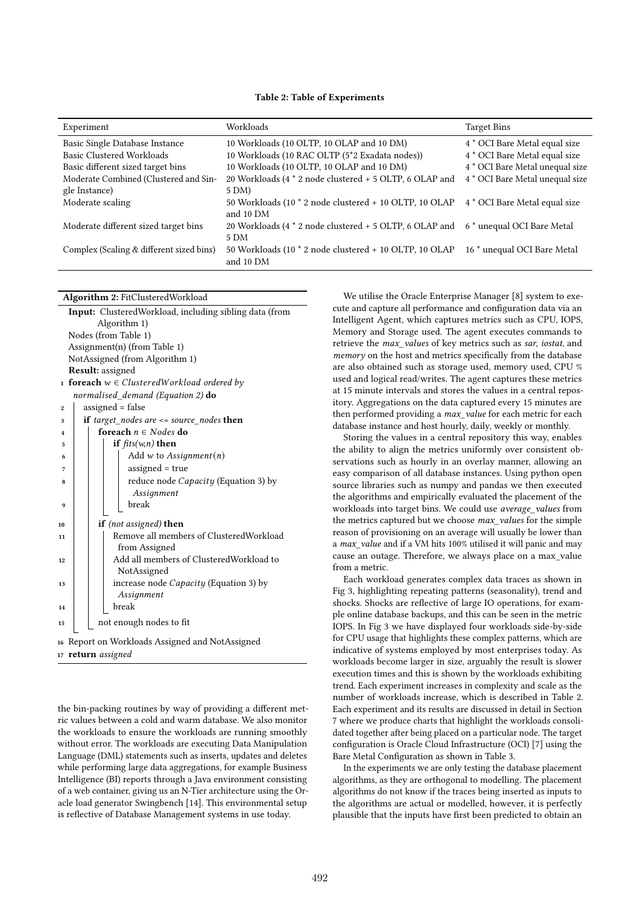| Experiment                               | Workloads                                                             | <b>Target Bins</b>                     |
|------------------------------------------|-----------------------------------------------------------------------|----------------------------------------|
| Basic Single Database Instance           | 10 Workloads (10 OLTP, 10 OLAP and 10 DM)                             | 4 * OCI Bare Metal equal size          |
| Basic Clustered Workloads                | 10 Workloads (10 RAC OLTP (5*2 Exadata nodes))                        | 4 * OCI Bare Metal equal size          |
| Basic different sized target bins        | 10 Workloads (10 OLTP, 10 OLAP and 10 DM)                             | 4 * OCI Bare Metal unequal size        |
| Moderate Combined (Clustered and Sin-    | 20 Workloads (4 $*$ 2 node clustered + 5 OLTP, 6 OLAP and             | 4 * OCI Bare Metal unequal size        |
| gle Instance)                            | 5 DM)                                                                 |                                        |
| Moderate scaling                         | 50 Workloads (10 $*$ 2 node clustered + 10 OLTP, 10 OLAP<br>and 10 DM | 4 * OCI Bare Metal equal size          |
| Moderate different sized target bins     | 20 Workloads (4 $*$ 2 node clustered + 5 OLTP, 6 OLAP and<br>5 DM     | 6 <sup>*</sup> unequal OCI Bare Metal  |
| Complex (Scaling & different sized bins) | 50 Workloads (10 * 2 node clustered + 10 OLTP, 10 OLAP<br>and 10 DM   | 16 <sup>*</sup> unequal OCI Bare Metal |

| Algorithm 2: FitClusteredWorkload |  |
|-----------------------------------|--|
|-----------------------------------|--|

|                  |                      | <b>Input:</b> ClusteredWorkload, including sibling data (from |  |  |  |  |  |  |
|------------------|----------------------|---------------------------------------------------------------|--|--|--|--|--|--|
| Algorithm 1)     |                      |                                                               |  |  |  |  |  |  |
|                  | Nodes (from Table 1) |                                                               |  |  |  |  |  |  |
|                  |                      | Assignment(n) (from Table 1)                                  |  |  |  |  |  |  |
|                  |                      | NotAssigned (from Algorithm 1)                                |  |  |  |  |  |  |
|                  |                      | <b>Result:</b> assigned                                       |  |  |  |  |  |  |
|                  |                      | 1 foreach $w \in ClusteredWorkload$ ordered by                |  |  |  |  |  |  |
|                  |                      | normalised_demand (Equation 2) do                             |  |  |  |  |  |  |
| $\boldsymbol{2}$ |                      | assigned = false                                              |  |  |  |  |  |  |
| 3                |                      | <b>if</b> target nodes are $\leq$ source nodes then           |  |  |  |  |  |  |
| 4                |                      | foreach $n \in Nodes$ do                                      |  |  |  |  |  |  |
| 5                |                      | if $fits(w, n)$ then                                          |  |  |  |  |  |  |
| 6                |                      | Add w to Assignment $(n)$                                     |  |  |  |  |  |  |
| 7                |                      | assigned $=$ true                                             |  |  |  |  |  |  |
| 8                |                      | reduce node <i>Capacity</i> (Equation 3) by                   |  |  |  |  |  |  |
|                  |                      | Assignment                                                    |  |  |  |  |  |  |
| 9                |                      | break                                                         |  |  |  |  |  |  |
|                  |                      |                                                               |  |  |  |  |  |  |
| 10               |                      | <b>if</b> (not assigned) <b>then</b>                          |  |  |  |  |  |  |
| 11               |                      | Remove all members of ClusteredWorkload                       |  |  |  |  |  |  |
|                  |                      | from Assigned<br>Add all members of ClusteredWorkload to      |  |  |  |  |  |  |
| 12               |                      |                                                               |  |  |  |  |  |  |
|                  |                      | NotAssigned                                                   |  |  |  |  |  |  |
| 13               |                      | increase node <i>Capacity</i> (Equation 3) by<br>Assignment   |  |  |  |  |  |  |
|                  |                      | break                                                         |  |  |  |  |  |  |
| 14               |                      |                                                               |  |  |  |  |  |  |
| 15               |                      | not enough nodes to fit                                       |  |  |  |  |  |  |
|                  |                      | 16 Report on Workloads Assigned and NotAssigned               |  |  |  |  |  |  |

<sup>17</sup> return assigned

the bin-packing routines by way of providing a different metric values between a cold and warm database. We also monitor the workloads to ensure the workloads are running smoothly without error. The workloads are executing Data Manipulation Language (DML) statements such as inserts, updates and deletes while performing large data aggregations, for example Business Intelligence (BI) reports through a Java environment consisting of a web container, giving us an N-Tier architecture using the Oracle load generator Swingbench [14]. This environmental setup is reflective of Database Management systems in use today.

We utilise the Oracle Enterprise Manager [8] system to execute and capture all performance and configuration data via an Intelligent Agent, which captures metrics such as CPU, IOPS, Memory and Storage used. The agent executes commands to retrieve the max\_values of key metrics such as sar, iostat, and memory on the host and metrics specifically from the database are also obtained such as storage used, memory used, CPU % used and logical read/writes. The agent captures these metrics at 15 minute intervals and stores the values in a central repository. Aggregations on the data captured every 15 minutes are then performed providing a *max* value for each metric for each database instance and host hourly, daily, weekly or monthly.

Storing the values in a central repository this way, enables the ability to align the metrics uniformly over consistent observations such as hourly in an overlay manner, allowing an easy comparison of all database instances. Using python open source libraries such as numpy and pandas we then executed the algorithms and empirically evaluated the placement of the workloads into target bins. We could use average\_values from the metrics captured but we choose max\_values for the simple reason of provisioning on an average will usually be lower than a max value and if a VM hits 100% utilised it will panic and may cause an outage. Therefore, we always place on a max\_value from a metric.

Each workload generates complex data traces as shown in Fig 3, highlighting repeating patterns (seasonality), trend and shocks. Shocks are reflective of large IO operations, for example online database backups, and this can be seen in the metric IOPS. In Fig 3 we have displayed four workloads side-by-side for CPU usage that highlights these complex patterns, which are indicative of systems employed by most enterprises today. As workloads become larger in size, arguably the result is slower execution times and this is shown by the workloads exhibiting trend. Each experiment increases in complexity and scale as the number of workloads increase, which is described in Table 2. Each experiment and its results are discussed in detail in Section 7 where we produce charts that highlight the workloads consolidated together after being placed on a particular node. The target configuration is Oracle Cloud Infrastructure (OCI) [7] using the Bare Metal Configuration as shown in Table 3.

In the experiments we are only testing the database placement algorithms, as they are orthogonal to modelling. The placement algorithms do not know if the traces being inserted as inputs to the algorithms are actual or modelled, however, it is perfectly plausible that the inputs have first been predicted to obtain an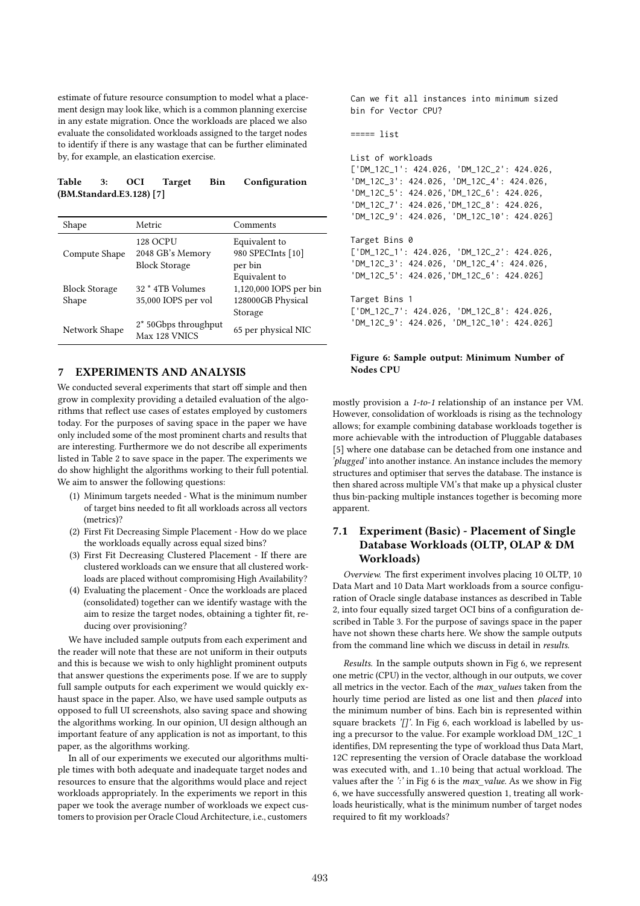estimate of future resource consumption to model what a placement design may look like, which is a common planning exercise in any estate migration. Once the workloads are placed we also evaluate the consolidated workloads assigned to the target nodes to identify if there is any wastage that can be further eliminated by, for example, an elastication exercise.

## Table 3: OCI Target Bin Configuration (BM.Standard.E3.128) [7]

| Shape                         | Metric                                               | Comments                                                                |
|-------------------------------|------------------------------------------------------|-------------------------------------------------------------------------|
| Compute Shape                 | 128 OCPU<br>2048 GB's Memory<br><b>Block Storage</b> | Equivalent to<br>980 SPECInts [10]<br>per bin                           |
| <b>Block Storage</b><br>Shape | 32 <sup>*</sup> 4TB Volumes<br>35,000 IOPS per vol   | Equivalent to<br>1,120,000 IOPS per bin<br>128000GB Physical<br>Storage |
| Network Shape                 | 2* 50Gbps throughput<br>Max 128 VNICS                | 65 per physical NIC                                                     |

# 7 EXPERIMENTS AND ANALYSIS

We conducted several experiments that start off simple and then grow in complexity providing a detailed evaluation of the algorithms that reflect use cases of estates employed by customers today. For the purposes of saving space in the paper we have only included some of the most prominent charts and results that are interesting. Furthermore we do not describe all experiments listed in Table 2 to save space in the paper. The experiments we do show highlight the algorithms working to their full potential. We aim to answer the following questions:

- (1) Minimum targets needed What is the minimum number of target bins needed to fit all workloads across all vectors (metrics)?
- (2) First Fit Decreasing Simple Placement How do we place the workloads equally across equal sized bins?
- (3) First Fit Decreasing Clustered Placement If there are clustered workloads can we ensure that all clustered workloads are placed without compromising High Availability?
- (4) Evaluating the placement Once the workloads are placed (consolidated) together can we identify wastage with the aim to resize the target nodes, obtaining a tighter fit, reducing over provisioning?

We have included sample outputs from each experiment and the reader will note that these are not uniform in their outputs and this is because we wish to only highlight prominent outputs that answer questions the experiments pose. If we are to supply full sample outputs for each experiment we would quickly exhaust space in the paper. Also, we have used sample outputs as opposed to full UI screenshots, also saving space and showing the algorithms working. In our opinion, UI design although an important feature of any application is not as important, to this paper, as the algorithms working.

In all of our experiments we executed our algorithms multiple times with both adequate and inadequate target nodes and resources to ensure that the algorithms would place and reject workloads appropriately. In the experiments we report in this paper we took the average number of workloads we expect customers to provision per Oracle Cloud Architecture, i.e., customers Can we fit all instances into minimum sized bin for Vector CPU?

```
==== list
```

```
List of workloads
['DM_12C_1': 424.026, 'DM_12C_2': 424.026,
'DM_12C_3': 424.026, 'DM_12C_4': 424.026,
'DM_12C_5': 424.026,'DM_12C_6': 424.026,
'DM_12C_7': 424.026,'DM_12C_8': 424.026,
'DM_12C_9': 424.026, 'DM_12C_10': 424.026]
Target Bins 0
['DM_12C_1': 424.026, 'DM_12C_2': 424.026,
'DM_12C_3': 424.026, 'DM_12C_4': 424.026,
'DM_12C_5': 424.026,'DM_12C_6': 424.026]
Target Bins 1
['DM_12C_7': 424.026, 'DM_12C_8': 424.026,
'DM_12C_9': 424.026, 'DM_12C_10': 424.026]
```
## Figure 6: Sample output: Minimum Number of Nodes CPU

mostly provision a 1-to-1 relationship of an instance per VM. However, consolidation of workloads is rising as the technology allows; for example combining database workloads together is more achievable with the introduction of Pluggable databases [5] where one database can be detached from one instance and 'plugged' into another instance. An instance includes the memory structures and optimiser that serves the database. The instance is then shared across multiple VM's that make up a physical cluster thus bin-packing multiple instances together is becoming more apparent.

# 7.1 Experiment (Basic) - Placement of Single Database Workloads (OLTP, OLAP & DM Workloads)

Overview. The first experiment involves placing 10 OLTP, 10 Data Mart and 10 Data Mart workloads from a source configuration of Oracle single database instances as described in Table 2, into four equally sized target OCI bins of a configuration described in Table 3. For the purpose of savings space in the paper have not shown these charts here. We show the sample outputs from the command line which we discuss in detail in results.

Results. In the sample outputs shown in Fig 6, we represent one metric (CPU) in the vector, although in our outputs, we cover all metrics in the vector. Each of the max\_values taken from the hourly time period are listed as one list and then placed into the minimum number of bins. Each bin is represented within square brackets '[]'. In Fig 6, each workload is labelled by using a precursor to the value. For example workload DM\_12C\_1 identifies, DM representing the type of workload thus Data Mart, 12C representing the version of Oracle database the workload was executed with, and 1..10 being that actual workload. The values after the ':' in Fig 6 is the max value. As we show in Fig 6, we have successfully answered question 1, treating all workloads heuristically, what is the minimum number of target nodes required to fit my workloads?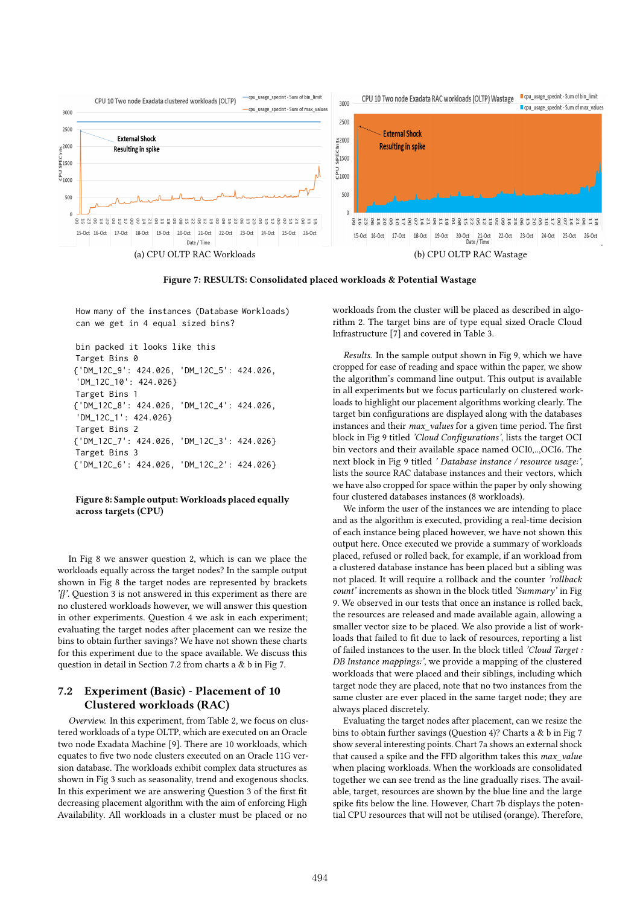

Figure 7: RESULTS: Consolidated placed workloads & Potential Wastage

How many of the instances (Database Workloads) can we get in 4 equal sized bins?

```
bin packed it looks like this
Target Bins 0
{'DM_12C_9': 424.026, 'DM_12C_5': 424.026,
'DM_12C_10': 424.026}
Target Bins 1
{'DM_12C_8': 424.026, 'DM_12C_4': 424.026,
'DM_12C_1': 424.026}
Target Bins 2
{'DM_12C_7': 424.026, 'DM_12C_3': 424.026}
Target Bins 3
{'DM_12C_6': 424.026, 'DM_12C_2': 424.026}
```
## Figure 8: Sample output: Workloads placed equally across targets (CPU)

In Fig 8 we answer question 2, which is can we place the workloads equally across the target nodes? In the sample output shown in Fig 8 the target nodes are represented by brackets '{}'. Question 3 is not answered in this experiment as there are no clustered workloads however, we will answer this question in other experiments. Question 4 we ask in each experiment; evaluating the target nodes after placement can we resize the bins to obtain further savings? We have not shown these charts for this experiment due to the space available. We discuss this question in detail in Section 7.2 from charts a & b in Fig 7.

## 7.2 Experiment (Basic) - Placement of 10 Clustered workloads (RAC)

Overview. In this experiment, from Table 2, we focus on clustered workloads of a type OLTP, which are executed on an Oracle two node Exadata Machine [9]. There are 10 workloads, which equates to five two node clusters executed on an Oracle 11G version database. The workloads exhibit complex data structures as shown in Fig 3 such as seasonality, trend and exogenous shocks. In this experiment we are answering Question 3 of the first fit decreasing placement algorithm with the aim of enforcing High Availability. All workloads in a cluster must be placed or no

workloads from the cluster will be placed as described in algorithm 2. The target bins are of type equal sized Oracle Cloud Infrastructure [7] and covered in Table 3.

Results. In the sample output shown in Fig 9, which we have cropped for ease of reading and space within the paper, we show the algorithm's command line output. This output is available in all experiments but we focus particularly on clustered workloads to highlight our placement algorithms working clearly. The target bin configurations are displayed along with the databases instances and their max\_values for a given time period. The first block in Fig 9 titled 'Cloud Configurations', lists the target OCI bin vectors and their available space named OCI0,..,OCI6. The next block in Fig 9 titled ' Database instance / resource usage:', lists the source RAC database instances and their vectors, which we have also cropped for space within the paper by only showing four clustered databases instances (8 workloads).

We inform the user of the instances we are intending to place and as the algorithm is executed, providing a real-time decision of each instance being placed however, we have not shown this output here. Once executed we provide a summary of workloads placed, refused or rolled back, for example, if an workload from a clustered database instance has been placed but a sibling was not placed. It will require a rollback and the counter 'rollback count' increments as shown in the block titled 'Summary' in Fig 9. We observed in our tests that once an instance is rolled back, the resources are released and made available again, allowing a smaller vector size to be placed. We also provide a list of workloads that failed to fit due to lack of resources, reporting a list of failed instances to the user. In the block titled 'Cloud Target : DB Instance mappings:', we provide a mapping of the clustered workloads that were placed and their siblings, including which target node they are placed, note that no two instances from the same cluster are ever placed in the same target node; they are always placed discretely.

Evaluating the target nodes after placement, can we resize the bins to obtain further savings (Question 4)? Charts a & b in Fig 7 show several interesting points. Chart 7a shows an external shock that caused a spike and the FFD algorithm takes this  $max\_value$ when placing workloads. When the workloads are consolidated together we can see trend as the line gradually rises. The available, target, resources are shown by the blue line and the large spike fits below the line. However, Chart 7b displays the potential CPU resources that will not be utilised (orange). Therefore,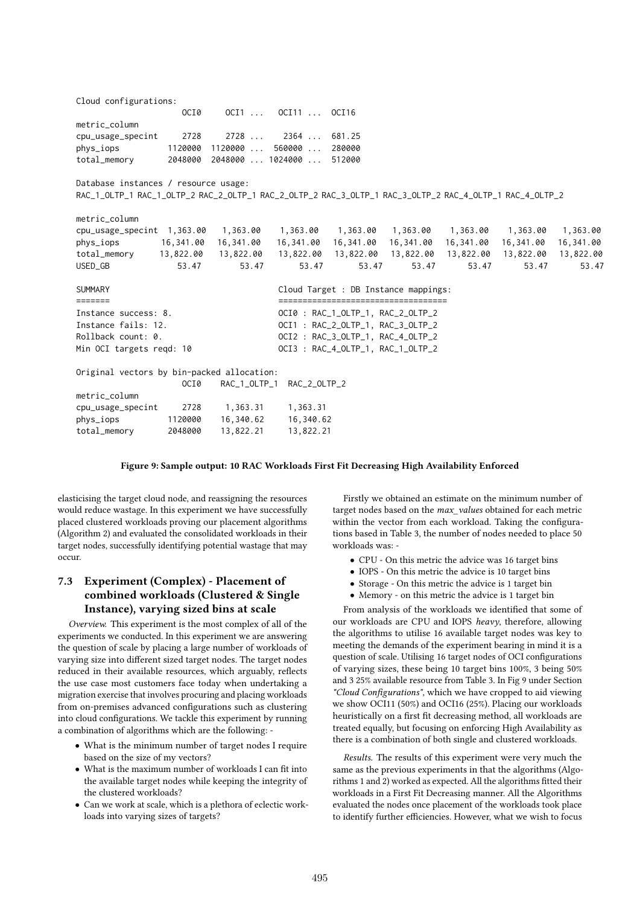| Cloud configurations:                                                                                   |           |                                   |                                                                             |                                       |       |           |                            |           |
|---------------------------------------------------------------------------------------------------------|-----------|-----------------------------------|-----------------------------------------------------------------------------|---------------------------------------|-------|-----------|----------------------------|-----------|
|                                                                                                         | OCI0      |                                   | OCI1  OCI11  OCI16                                                          |                                       |       |           |                            |           |
| metric_column                                                                                           |           |                                   |                                                                             |                                       |       |           |                            |           |
| cpu_usage_specint                                                                                       | 2728      | 2728                              | 2364  681.25                                                                |                                       |       |           |                            |           |
| phys_iops                                                                                               |           |                                   | 1120000 1120000  560000  280000                                             |                                       |       |           |                            |           |
| total_memory                                                                                            |           |                                   | 2048000 2048000  1024000  512000                                            |                                       |       |           |                            |           |
| Database instances / resource usage:                                                                    |           |                                   |                                                                             |                                       |       |           |                            |           |
| RAC_1_OLTP_1 RAC_1_OLTP_2 RAC_2_OLTP_1 RAC_2_OLTP_2 RAC_3_OLTP_1 RAC_3_OLTP_2 RAC_4_OLTP_1 RAC_4_OLTP_2 |           |                                   |                                                                             |                                       |       |           |                            |           |
| metric_column                                                                                           |           |                                   |                                                                             |                                       |       |           |                            |           |
| cpu_usage_specint 1,363.00                                                                              |           | 1,363.00                          | 1,363.00                                                                    | 1,363.00 1,363.00                     |       |           | 1,363.00 1,363.00 1,363.00 |           |
| phys_iops                                                                                               | 16,341.00 | 16,341.00                         |                                                                             | 16,341.00 16,341.00 16,341.00         |       | 16,341.00 | 16,341.00                  | 16,341.00 |
| total_memory 13,822.00                                                                                  |           |                                   | 13,822.00  13,822.00  13,822.00  13,822.00  13,822.00  13,822.00  13,822.00 |                                       |       |           |                            |           |
| USED_GB                                                                                                 | 53.47     | 53.47                             | 53.47                                                                       | 53.47                                 | 53.47 | 53.47     | 53.47                      | 53.47     |
| <b>SUMMARY</b>                                                                                          |           |                                   |                                                                             | Cloud Target : DB Instance mappings:  |       |           |                            |           |
|                                                                                                         |           |                                   |                                                                             | ===================================== |       |           |                            |           |
| Instance success: 8.                                                                                    |           |                                   |                                                                             | OCI0 : RAC_1_OLTP_1, RAC_2_OLTP_2     |       |           |                            |           |
| Instance fails: 12.                                                                                     |           |                                   |                                                                             | OCI1 : RAC_2_OLTP_1, RAC_3_OLTP_2     |       |           |                            |           |
| Rollback count: 0.                                                                                      |           | OCI2 : RAC_3_OLTP_1, RAC_4_OLTP_2 |                                                                             |                                       |       |           |                            |           |
| Min OCI targets reqd: 10                                                                                |           |                                   |                                                                             | OCI3 : RAC_4_OLTP_1, RAC_1_OLTP_2     |       |           |                            |           |
| Original vectors by bin-packed allocation:                                                              |           |                                   |                                                                             |                                       |       |           |                            |           |
|                                                                                                         | OCI0      |                                   | RAC_1_OLTP_1 RAC_2_OLTP_2                                                   |                                       |       |           |                            |           |
| metric_column                                                                                           |           |                                   |                                                                             |                                       |       |           |                            |           |
| cpu_usage_specint                                                                                       | 2728      | 1,363.31                          | 1,363.31                                                                    |                                       |       |           |                            |           |
| phys_iops                                                                                               | 1120000   | 16,340.62                         | 16,340.62                                                                   |                                       |       |           |                            |           |
| total_memory                                                                                            | 2048000   | 13,822.21                         | 13,822.21                                                                   |                                       |       |           |                            |           |

#### Figure 9: Sample output: 10 RAC Workloads First Fit Decreasing High Availability Enforced

elasticising the target cloud node, and reassigning the resources would reduce wastage. In this experiment we have successfully placed clustered workloads proving our placement algorithms (Algorithm 2) and evaluated the consolidated workloads in their target nodes, successfully identifying potential wastage that may occur.

# 7.3 Experiment (Complex) - Placement of combined workloads (Clustered & Single Instance), varying sized bins at scale

Overview. This experiment is the most complex of all of the experiments we conducted. In this experiment we are answering the question of scale by placing a large number of workloads of varying size into different sized target nodes. The target nodes reduced in their available resources, which arguably, reflects the use case most customers face today when undertaking a migration exercise that involves procuring and placing workloads from on-premises advanced configurations such as clustering into cloud configurations. We tackle this experiment by running a combination of algorithms which are the following: -

- What is the minimum number of target nodes I require based on the size of my vectors?
- What is the maximum number of workloads I can fit into the available target nodes while keeping the integrity of the clustered workloads?
- Can we work at scale, which is a plethora of eclectic workloads into varying sizes of targets?

Firstly we obtained an estimate on the minimum number of target nodes based on the max values obtained for each metric within the vector from each workload. Taking the configurations based in Table 3, the number of nodes needed to place 50 workloads was: -

- CPU On this metric the advice was 16 target bins
- IOPS On this metric the advice is 10 target bins
- Storage On this metric the advice is 1 target bin
- Memory on this metric the advice is 1 target bin

From analysis of the workloads we identified that some of our workloads are CPU and IOPS heavy, therefore, allowing the algorithms to utilise 16 available target nodes was key to meeting the demands of the experiment bearing in mind it is a question of scale. Utilising 16 target nodes of OCI configurations of varying sizes, these being 10 target bins 100%, 3 being 50% and 3 25% available resource from Table 3. In Fig 9 under Section "Cloud Configurations", which we have cropped to aid viewing we show OCI11 (50%) and OCI16 (25%). Placing our workloads heuristically on a first fit decreasing method, all workloads are treated equally, but focusing on enforcing High Availability as there is a combination of both single and clustered workloads.

Results. The results of this experiment were very much the same as the previous experiments in that the algorithms (Algorithms 1 and 2) worked as expected. All the algorithms fitted their workloads in a First Fit Decreasing manner. All the Algorithms evaluated the nodes once placement of the workloads took place to identify further efficiencies. However, what we wish to focus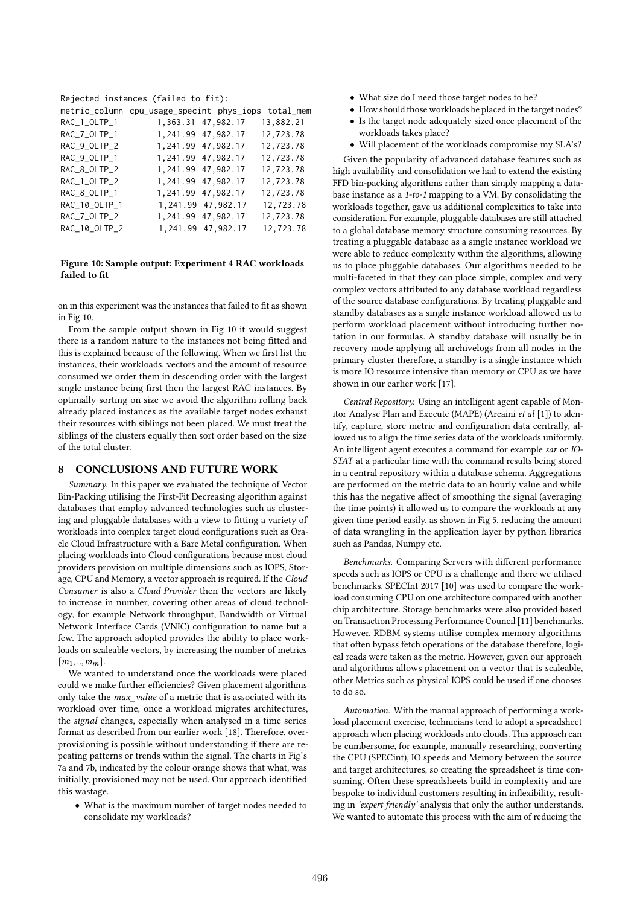Rejected instances (failed to fit):

| metric_column | cpu_usage_specint phys_iops total_mem |                    |           |
|---------------|---------------------------------------|--------------------|-----------|
| RAC_1_OLTP_1  |                                       | 1,363.31 47,982.17 | 13,882.21 |
| RAC_7_OLTP_1  |                                       | 1,241.99 47,982.17 | 12,723.78 |
| RAC_9_OLTP_2  |                                       | 1,241.99 47,982.17 | 12,723.78 |
| RAC_9_OLTP_1  |                                       | 1,241.99 47,982.17 | 12,723.78 |
| RAC_8_OLTP_2  |                                       | 1,241.99 47,982.17 | 12,723.78 |
| RAC_1_OLTP_2  |                                       | 1,241.99 47,982.17 | 12,723.78 |
| RAC_8_OLTP_1  |                                       | 1,241.99 47,982.17 | 12,723.78 |
| RAC_10_OLTP_1 |                                       | 1,241.99 47,982.17 | 12,723.78 |
| RAC_7_OLTP_2  |                                       | 1,241.99 47,982.17 | 12,723.78 |
| RAC_10_OLTP_2 |                                       | 1,241.99 47,982.17 | 12,723.78 |

## Figure 10: Sample output: Experiment 4 RAC workloads failed to fit

on in this experiment was the instances that failed to fit as shown in Fig 10.

From the sample output shown in Fig 10 it would suggest there is a random nature to the instances not being fitted and this is explained because of the following. When we first list the instances, their workloads, vectors and the amount of resource consumed we order them in descending order with the largest single instance being first then the largest RAC instances. By optimally sorting on size we avoid the algorithm rolling back already placed instances as the available target nodes exhaust their resources with siblings not been placed. We must treat the siblings of the clusters equally then sort order based on the size of the total cluster.

## 8 CONCLUSIONS AND FUTURE WORK

Summary. In this paper we evaluated the technique of Vector Bin-Packing utilising the First-Fit Decreasing algorithm against databases that employ advanced technologies such as clustering and pluggable databases with a view to fitting a variety of workloads into complex target cloud configurations such as Oracle Cloud Infrastructure with a Bare Metal configuration. When placing workloads into Cloud configurations because most cloud providers provision on multiple dimensions such as IOPS, Storage, CPU and Memory, a vector approach is required. If the Cloud Consumer is also a Cloud Provider then the vectors are likely to increase in number, covering other areas of cloud technology, for example Network throughput, Bandwidth or Virtual Network Interface Cards (VNIC) configuration to name but a few. The approach adopted provides the ability to place workloads on scaleable vectors, by increasing the number of metrics  $[m_1,..,m_m].$ 

We wanted to understand once the workloads were placed could we make further efficiencies? Given placement algorithms only take the max\_value of a metric that is associated with its workload over time, once a workload migrates architectures, the signal changes, especially when analysed in a time series format as described from our earlier work [18]. Therefore, overprovisioning is possible without understanding if there are repeating patterns or trends within the signal. The charts in Fig's 7a and 7b, indicated by the colour orange shows that what, was initially, provisioned may not be used. Our approach identified this wastage.

• What is the maximum number of target nodes needed to consolidate my workloads?

- What size do I need those target nodes to be?
- How should those workloads be placed in the target nodes?
- Is the target node adequately sized once placement of the workloads takes place?
- Will placement of the workloads compromise my SLA's?

Given the popularity of advanced database features such as high availability and consolidation we had to extend the existing FFD bin-packing algorithms rather than simply mapping a database instance as a 1-to-1 mapping to a VM. By consolidating the workloads together, gave us additional complexities to take into consideration. For example, pluggable databases are still attached to a global database memory structure consuming resources. By treating a pluggable database as a single instance workload we were able to reduce complexity within the algorithms, allowing us to place pluggable databases. Our algorithms needed to be multi-faceted in that they can place simple, complex and very complex vectors attributed to any database workload regardless of the source database configurations. By treating pluggable and standby databases as a single instance workload allowed us to perform workload placement without introducing further notation in our formulas. A standby database will usually be in recovery mode applying all archivelogs from all nodes in the primary cluster therefore, a standby is a single instance which is more IO resource intensive than memory or CPU as we have shown in our earlier work [17].

Central Repository. Using an intelligent agent capable of Monitor Analyse Plan and Execute (MAPE) (Arcaini et al [1]) to identify, capture, store metric and configuration data centrally, allowed us to align the time series data of the workloads uniformly. An intelligent agent executes a command for example sar or IO-STAT at a particular time with the command results being stored in a central repository within a database schema. Aggregations are performed on the metric data to an hourly value and while this has the negative affect of smoothing the signal (averaging the time points) it allowed us to compare the workloads at any given time period easily, as shown in Fig 5, reducing the amount of data wrangling in the application layer by python libraries such as Pandas, Numpy etc.

Benchmarks. Comparing Servers with different performance speeds such as IOPS or CPU is a challenge and there we utilised benchmarks. SPECInt 2017 [10] was used to compare the workload consuming CPU on one architecture compared with another chip architecture. Storage benchmarks were also provided based on Transaction Processing Performance Council [11] benchmarks. However, RDBM systems utilise complex memory algorithms that often bypass fetch operations of the database therefore, logical reads were taken as the metric. However, given our approach and algorithms allows placement on a vector that is scaleable, other Metrics such as physical IOPS could be used if one chooses to do so.

Automation. With the manual approach of performing a workload placement exercise, technicians tend to adopt a spreadsheet approach when placing workloads into clouds. This approach can be cumbersome, for example, manually researching, converting the CPU (SPECint), IO speeds and Memory between the source and target architectures, so creating the spreadsheet is time consuming. Often these spreadsheets build in complexity and are bespoke to individual customers resulting in inflexibility, resulting in 'expert friendly' analysis that only the author understands. We wanted to automate this process with the aim of reducing the